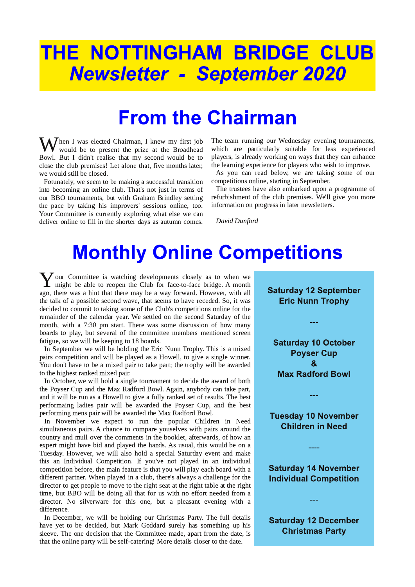# THE NOTTINGHAM BRIDGE CLUB **Newsletter - September 2020**

### **From the Chairman**

 $\bigvee$ hen I was elected Chairman, I knew my first job would be to present the prize at the Broadhead Bowl. But I didn't realise that my second would be to close the club premises! Let alone that, five months later, we would still be closed.

Fotunately, we seem to be making a successful transition into becoming an online club. That's not just in terms of our BBO tournaments, but with Graham Brindley setting the pace by taking his improvers' sessions online, too. Your Committee is currently exploring what else we can deliver online to fill in the shorter days as autumn comes.

The team running our Wednesday evening tournaments, which are particularly suitable for less experienced players, is already working on ways that they can enhance the learning experience for players who wish to improve.

As you can read below, we are taking some of our competitions online, starting in September.

The trustees have also embarked upon a programme of refurbishment of the club premises. We'll give you more information on progress in later newsletters.

David Dunford

## **Monthly Online Competitions**

 $\sum$  our Committee is watching developments closely as to when we might be able to reopen the Club for face-to-face bridge. A month ago, there was a bint that there may be a way forward. However, with all might be able to reopen the Club for face-to-face bridge. A month ago, there was a hint that there may be a way forward. However, with all the talk of a possible second wave, that seems to have receded. So, it was decided to commit to taking some of the Club's competitions online for the remainder of the calendar year. We settled on the second Saturday of the month, with a 7:30 pm start. There was some discussion of how many boards to play, but several of the committee members mentioned screen fatigue, so we will be keeping to 18 boards.

In September we will be holding the Eric Nunn Trophy. This is a mixed pairs competition and will be played as a Howell, to give a single winner. You don't have to be a mixed pair to take part; the trophy will be awarded to the highest ranked mixed pair.

In October, we will hold a single tournament to decide the award of both the Poyser Cup and the Max Radford Bowl. Again, anybody can take part, and it will be run as a Howell to give a fully ranked set of results. The best performaing ladies pair will be awarded the Poyser Cup, and the best performing mens pair will be awarded the Max Radford Bowl.

In November we expect to run the popular Children in Need simultaneous pairs. A chance to compare youselves with pairs around the country and mull over the comments in the booklet, afterwards, of how an expert might have bid and played the hands. As usual, this would be on a Tuesday. However, we will also hold a special Saturday event and make this an Individual Competition. If you've not played in an individual competition before, the main feature is that you will play each board with a different partner. When played in a club, there's always a challenge for the director to get people to move to the right seat at the right table at the right time, but BBO will be doing all that for us with no effort needed from a director. No silverware for this one, but a pleasant evening with a difference.

In December, we will be holding our Christmas Party. The full details have yet to be decided, but Mark Goddard surely has something up his sleeve. The one decision that the Committee made, apart from the date, is that the online party will be self-catering! More details closer to the date.

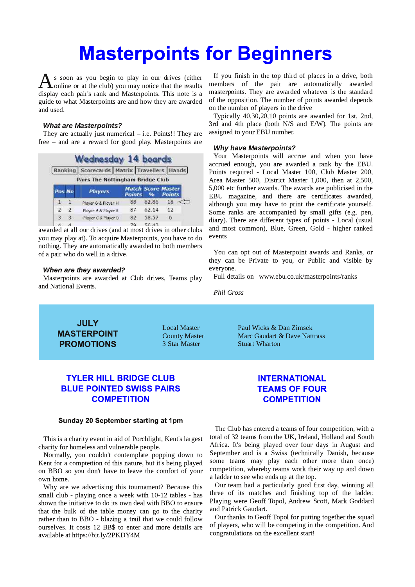## **Masterpoints for Beginners**

**A** s soon as you begin to play in our drives (either display each pair's rank and Masterpoints. This note is a s soon as you begin to play in our drives (either online or at the club) you may notice that the results guide to what Masterpoints are and how they are awarded and used.

### **What are Masterpoints?**

They are actually just numerical  $-$  i.e. Points!! They are  ${\rm free}$  – and are a reward for good play. Masterpoints are

|                                            |              | <b>Wednesday 14 boards</b>       |                   |               |                                            |
|--------------------------------------------|--------------|----------------------------------|-------------------|---------------|--------------------------------------------|
| Ranking Scorecards Matrix Travellers Hands |              |                                  |                   |               |                                            |
|                                            |              | Pairs The Nottingham Bridge Club |                   |               |                                            |
| Pos No                                     |              | <b>Players</b>                   | <b>Points</b>     | $\frac{1}{2}$ | <b>Match Score Master</b><br><b>Points</b> |
| 1.                                         |              | Player 6 & Player H              | 88                | 62.86         | 18                                         |
| $\mathcal{L}$                              | $\mathbf{2}$ | Player A & Player B              | 87                | 62.14         | 12                                         |
| 333                                        |              | Player C & Player D              | 82                | 58.57         | 6                                          |
| .                                          |              |                                  | <b>CONTRACTOR</b> | ----          |                                            |

awarded at all our drives (and at most drives in other clubs you may play at). To acquire Masterpoints, you have to do nothing. They are automatically awarded to both members of a pair who do well in a drive.

#### When are they awarded?

Masterpoints are awarded at Club drives, Teams play and National Events.

If you finish in the top third of places in a drive, both members of the pair are automatically awarded masterpoints. They are awarded whatever is the standard of the opposition. The number of points awarded depends on the number of players in the drive

Typically 40,30,20,10 points are awarded for 1st, 2nd, 3rd and 4th place (both  $N/S$  and  $E/W$ ). The points are assigned to your EBU number.

#### **Why have Masterpoints?**

Your Masterpoints will accrue and when you have accrued enough, you are awarded a rank by the EBU. Points required - Local Master 100, Club Master 200, Area Master 500, District Master 1,000, then at 2,500, 5,000 etc further awards. The awards are publicised in the EBU magazine, and there are certificates awarded, although you may have to print the certificate yourself. Some ranks are accompanied by small gifts (e.g. pen, diary). There are different types of points - Local (usual and most common), Blue, Green, Gold - higher ranked events

You can opt out of Masterpoint awards and Ranks, or they can be Private to you, or Public and visible by everyone.

Full details on www.ebu.co.uk/masterpoints/ranks

Phil Gross

**JULY MASTERPOINT PROMOTIONS** 

\$A53> %3EF7D (3G> .;5=E - 3@ 0;?E7= County Master **3DF 3D5 3D63DF 3D54DF** Marc Gaudart & Dave Nattrass 3 Star Master **5 8 Stuart Wharton** 

### **TYLER HILL BRIDGE CLUB BLUE POINTED SWISS PAIRS COMPETITION**

#### Sunday 20 September starting at 1pm

This is a charity event in aid of Porchlight, Kent's largest charity for homeless and vulnerable people.

Normally, you couldn't contemplate popping down to Kent for a comptettion of this nature, but it's being played on BBO so you don't have to leave the comfort of your own home.

Why are we advertising this tournament? Because this small club - playing once a week with 10-12 tables - has shown the initiative to do its own deal with BBO to ensure that the bulk of the table money can go to the charity rather than to BBO - blazing a trail that we could follow ourselves. It costs 12 BB\$ to enter and more details are available at https://bit.ly/2PKDY4M

### **INTERNATIONAL TEAMS OF FOUR COMPETITION**

The Club has entered a teams of four competition, with a total of 32 teams from the UK, Ireland, Holland and South Africa. It's being played over four days in August and September and is a Swiss (technically Danish, because some teams may play each other more than once) competition, whereby teams work their way up and down a ladder to see who ends up at the top.

Our team had a particularly good first day, winning all three of its matches and finishing top of the ladder. Playing were Geoff Topol, Andrew Scott, Mark Goddard and Patrick Gaudart.

Our thanks to Geoff Topol for putting together the squad of players, who will be competing in the competition. And congratulations on the excellent start!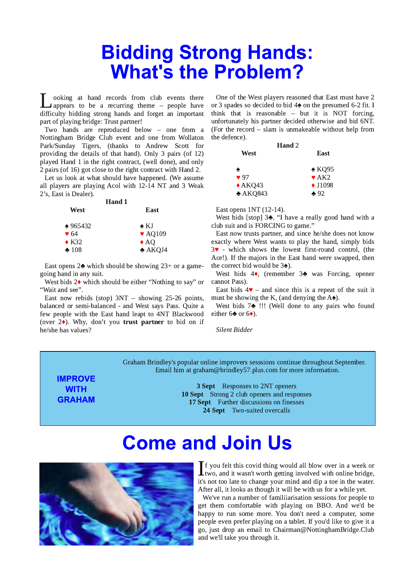## **Bidding Strong Hands: What's the Problem?**

**I** ooking at hand records from club events there appears to be a recurring theme – people have difficulty bidding strong hands and forget an important ooking at hand records from club events there  $\Box$  appears to be a recurring theme  $-$  people have part of playing bridge: Trust partner!

Two hands are reproduced below  $-$  one from a Nottingham Bridge Club event and one from Wollaton Park/Sunday Tigers, (thanks to Andrew Scott for providing the details of that hand). Only 3 pairs (of  $12$ ) played Hand 1 in the right contract, (well done), and only 2 pairs (of 16) got close to the right contract with Hand 2.

Let us look at what should have happened. (We assume all players are playing Acol with 12-14 NT and 3 Weak 2's, East is Dealer).

| <b>Hand 1</b>              |
|----------------------------|
| East                       |
| $\bullet$ KJ               |
| $\blacktriangledown$ AO109 |
| $\triangle A$ O            |
| $\triangle$ AKQJ4          |
|                            |

East opens  $2\clubsuit$  which should be showing  $23+$  or a gamegoing hand in any suit.

West bids 2 $\bullet$  which should be either "Nothing to say" or "Wait and see".

East now rebids (stop)  $3NT -$  showing 25-26 points, balanced or semi-balanced - and West says Pass. Quite a few people with the East hand leapt to 4NT Blackwood (over  $2\blacklozenge$ ). Why, don't you trust partner to bid on if he/she has values<mark>?</mark>

One of the West players reasoned that East must have 2 or 3 spades so decided to bid  $4\spadesuit$  on the presumed 6-2 fit. I think that is reasonable  $-$  but it is NOT forcing, unfortunately his partner decided otherwise and bid 6NT. (For the record  $-$  slam is unmakeable without help from the defence).

| Hand 2            |                                       |
|-------------------|---------------------------------------|
| West              | East                                  |
| ۰                 | $\triangle$ KQ95                      |
| $\bullet$ 97      | $\blacktriangleright$ AK <sub>2</sub> |
| $\triangle$ AKQ43 | $\triangle$ J1098                     |
| $*AKQ843$         | $*92$                                 |

East opens  $1NT(12-14)$ .

West bids [stop]  $3$ . "I have a really good hand with a club suit and is FORCING to game."

East now trusts partner, and since he/she does not know exactly where West wants to play the hand, simply bids  $3\blacktriangleright$  - which shows the lowest first-round control, (the Ace!). If the majors in the East hand were swapped, then the correct bid would be  $3\spadesuit$ ).

West bids  $4\bullet$ , (remember  $3\bullet$  was Forcing, opener cannot Pass).

East bids  $4\mathbf{v}$  – and since this is a repeat of the suit it must be showing the K, (and denying the  $A\spadesuit$ ).

West bids  $7\clubsuit$  !!! (Well done to any pairs who found either 6 $\bullet$  or 6 $\bullet$ ).

Silent Bidder

Graham Brindley's popular online improvers sesssions continue throughout September. Email him at graham@brindley57.plus.com for more information.

**IMPROVE WITH GRAHAM** 

3 Sept Responses to 2NT openers 10 Sept Strong 2 club openers and responses 17 Sept Further discussions on finesses 24 Sept Two-suited overcalls

## **Come and Join Us**



 $\prod$  f you felt this covid thing would all blow over in a week of two, and it wasn't worth getting involved with online bridge, it's not too late to change your mind and din a toe in the water  $\blacksquare$  f you felt this covid thing would all blow over in a week or it's not too late to change your mind and dip a toe in the water. After all, it looks as though it will be with us for a while yet.

We've run a number of familiiarisation sessions for people to get them comfortable with playing on BBO. And we'd be happy to run some more. You don't need a computer, some people even prefer playing on a tablet. If you'd like to give it a go, just drop an email to Chairman@NottinghamBridge.Club and we'll take you through it.